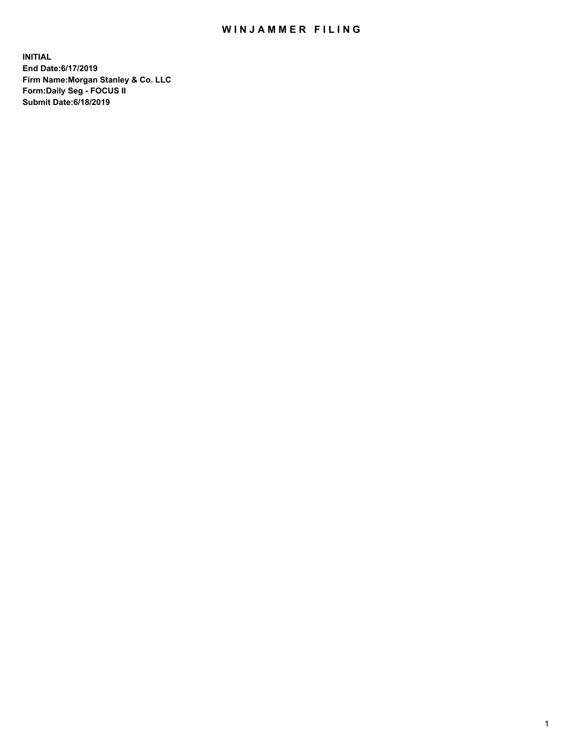## WIN JAMMER FILING

**INITIAL End Date:6/17/2019 Firm Name:Morgan Stanley & Co. LLC Form:Daily Seg - FOCUS II Submit Date:6/18/2019**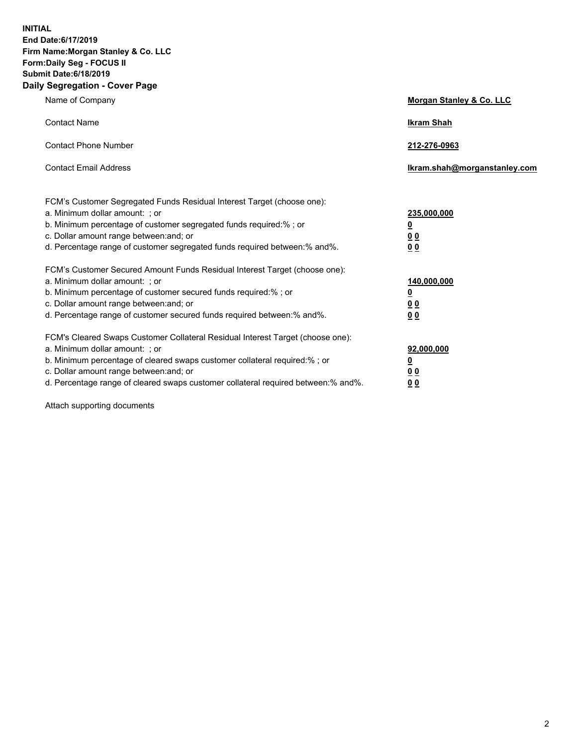**INITIAL End Date:6/17/2019 Firm Name:Morgan Stanley & Co. LLC Form:Daily Seg - FOCUS II Submit Date:6/18/2019 Daily Segregation - Cover Page**

| Name of Company                                                                   | Morgan Stanley & Co. LLC     |
|-----------------------------------------------------------------------------------|------------------------------|
| <b>Contact Name</b>                                                               | <b>Ikram Shah</b>            |
| <b>Contact Phone Number</b>                                                       | 212-276-0963                 |
| <b>Contact Email Address</b>                                                      | Ikram.shah@morganstanley.com |
| FCM's Customer Segregated Funds Residual Interest Target (choose one):            |                              |
| a. Minimum dollar amount: ; or                                                    | 235,000,000                  |
| b. Minimum percentage of customer segregated funds required:% ; or                | <u>0</u>                     |
| c. Dollar amount range between: and; or                                           | <u>0 0</u>                   |
| d. Percentage range of customer segregated funds required between: % and %.       | 0 Q                          |
| FCM's Customer Secured Amount Funds Residual Interest Target (choose one):        |                              |
| a. Minimum dollar amount: ; or                                                    | 140,000,000                  |
| b. Minimum percentage of customer secured funds required:%; or                    | <u>0</u>                     |
| c. Dollar amount range between: and; or                                           | 0 <sub>0</sub>               |
| d. Percentage range of customer secured funds required between:% and%.            | 0 <sub>0</sub>               |
| FCM's Cleared Swaps Customer Collateral Residual Interest Target (choose one):    |                              |
| a. Minimum dollar amount: ; or                                                    | 92,000,000                   |
| b. Minimum percentage of cleared swaps customer collateral required:% ; or        | <u>0</u>                     |
| c. Dollar amount range between: and; or                                           | 0 Q                          |
| d. Percentage range of cleared swaps customer collateral required between:% and%. | 00                           |

Attach supporting documents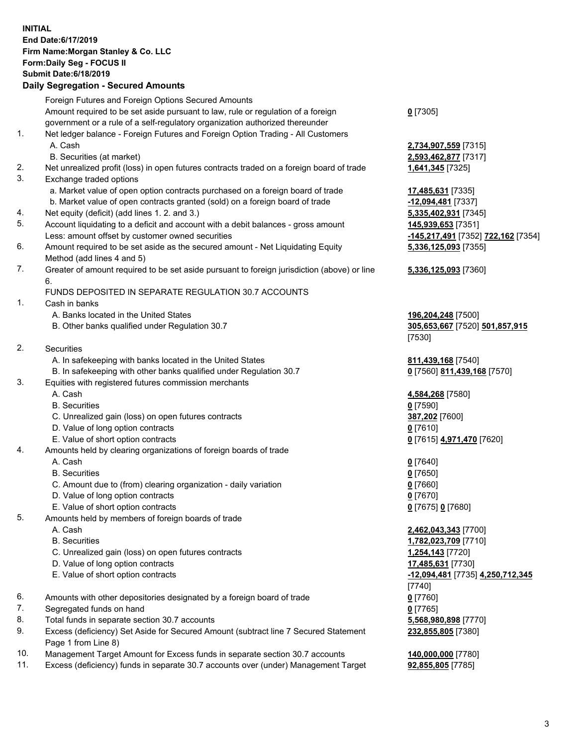## **INITIAL End Date:6/17/2019 Firm Name:Morgan Stanley & Co. LLC Form:Daily Seg - FOCUS II Submit Date:6/18/2019 Daily Segregation - Secured Amounts**

Foreign Futures and Foreign Options Secured Amounts Amount required to be set aside pursuant to law, rule or regulation of a foreign government or a rule of a self-regulatory organization authorized thereunder 1. Net ledger balance - Foreign Futures and Foreign Option Trading - All Customers A. Cash **2,734,907,559** [7315] B. Securities (at market) **2,593,462,877** [7317] 2. Net unrealized profit (loss) in open futures contracts traded on a foreign board of trade **1,641,345** [7325] 3. Exchange traded options a. Market value of open option contracts purchased on a foreign board of trade **17,485,631** [7335] b. Market value of open contracts granted (sold) on a foreign board of trade **-12,094,481** [7337] 4. Net equity (deficit) (add lines 1. 2. and 3.) **5,335,402,931** [7345] 5. Account liquidating to a deficit and account with a debit balances - gross amount **145,939,653** [7351] Less: amount offset by customer owned securities **-145,217,491** [7352] **722,162** [7354] 6. Amount required to be set aside as the secured amount - Net Liquidating Equity Method (add lines 4 and 5) 7. Greater of amount required to be set aside pursuant to foreign jurisdiction (above) or line 6. FUNDS DEPOSITED IN SEPARATE REGULATION 30.7 ACCOUNTS 1. Cash in banks A. Banks located in the United States **196,204,248** [7500] B. Other banks qualified under Regulation 30.7 **305,653,667** [7520] **501,857,915** 2. Securities A. In safekeeping with banks located in the United States **811,439,168** [7540] B. In safekeeping with other banks qualified under Regulation 30.7 **0** [7560] **811,439,168** [7570] 3. Equities with registered futures commission merchants A. Cash **4,584,268** [7580] B. Securities **0** [7590] C. Unrealized gain (loss) on open futures contracts **387,202** [7600] D. Value of long option contracts **0** [7610] E. Value of short option contracts **0** [7615] **4,971,470** [7620] 4. Amounts held by clearing organizations of foreign boards of trade A. Cash **0** [7640] B. Securities **0** [7650] C. Amount due to (from) clearing organization - daily variation **0** [7660] D. Value of long option contracts **0** [7670] E. Value of short option contracts **0** [7675] **0** [7680] 5. Amounts held by members of foreign boards of trade A. Cash **2,462,043,343** [7700] B. Securities **1,782,023,709** [7710] C. Unrealized gain (loss) on open futures contracts **1,254,143** [7720] D. Value of long option contracts **17,485,631** [7730] E. Value of short option contracts **-12,094,481** [7735] **4,250,712,345** 6. Amounts with other depositories designated by a foreign board of trade **0** [7760] 7. Segregated funds on hand **0** [7765] 8. Total funds in separate section 30.7 accounts **5,568,980,898** [7770] 9. Excess (deficiency) Set Aside for Secured Amount (subtract line 7 Secured Statement Page 1 from Line 8)

- 10. Management Target Amount for Excess funds in separate section 30.7 accounts **140,000,000** [7780]
- 11. Excess (deficiency) funds in separate 30.7 accounts over (under) Management Target **92,855,805** [7785]

**0** [7305]

**5,336,125,093** [7355]

## **5,336,125,093** [7360]

[7530]

[7740] **232,855,805** [7380]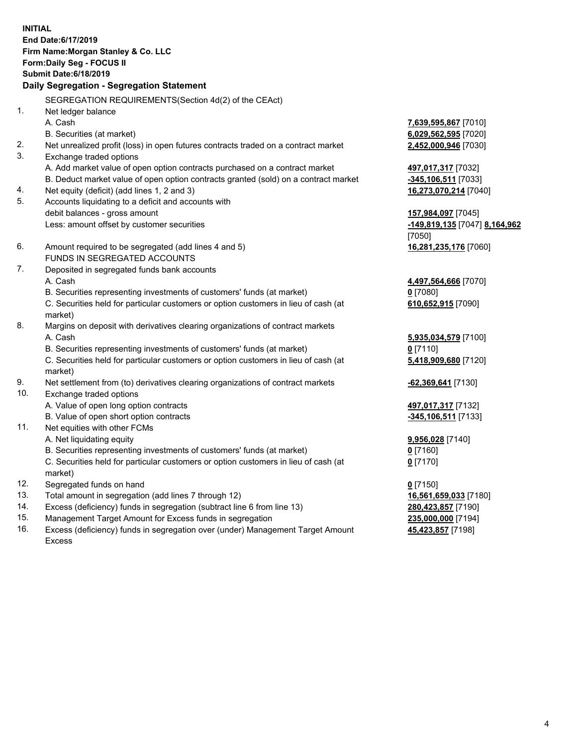**INITIAL End Date:6/17/2019 Firm Name:Morgan Stanley & Co. LLC Form:Daily Seg - FOCUS II Submit Date:6/18/2019 Daily Segregation - Segregation Statement** SEGREGATION REQUIREMENTS(Section 4d(2) of the CEAct) 1. Net ledger balance A. Cash **7,639,595,867** [7010] B. Securities (at market) **6,029,562,595** [7020] 2. Net unrealized profit (loss) in open futures contracts traded on a contract market **2,452,000,946** [7030] 3. Exchange traded options A. Add market value of open option contracts purchased on a contract market **497,017,317** [7032] B. Deduct market value of open option contracts granted (sold) on a contract market **-345,106,511** [7033] 4. Net equity (deficit) (add lines 1, 2 and 3) **16,273,070,214** [7040] 5. Accounts liquidating to a deficit and accounts with debit balances - gross amount **157,984,097** [7045] Less: amount offset by customer securities **-149,819,135** [7047] **8,164,962** [7050] 6. Amount required to be segregated (add lines 4 and 5) **16,281,235,176** [7060] FUNDS IN SEGREGATED ACCOUNTS 7. Deposited in segregated funds bank accounts A. Cash **4,497,564,666** [7070] B. Securities representing investments of customers' funds (at market) **0** [7080] C. Securities held for particular customers or option customers in lieu of cash (at market) **610,652,915** [7090] 8. Margins on deposit with derivatives clearing organizations of contract markets A. Cash **5,935,034,579** [7100] B. Securities representing investments of customers' funds (at market) **0** [7110] C. Securities held for particular customers or option customers in lieu of cash (at market) **5,418,909,680** [7120] 9. Net settlement from (to) derivatives clearing organizations of contract markets **-62,369,641** [7130] 10. Exchange traded options A. Value of open long option contracts **497,017,317** [7132] B. Value of open short option contracts **-345,106,511** [7133] 11. Net equities with other FCMs A. Net liquidating equity **9,956,028** [7140] B. Securities representing investments of customers' funds (at market) **0** [7160] C. Securities held for particular customers or option customers in lieu of cash (at market) **0** [7170] 12. Segregated funds on hand **0** [7150] 13. Total amount in segregation (add lines 7 through 12) **16,561,659,033** [7180] 14. Excess (deficiency) funds in segregation (subtract line 6 from line 13) **280,423,857** [7190]

- 15. Management Target Amount for Excess funds in segregation **235,000,000** [7194]
- 16. Excess (deficiency) funds in segregation over (under) Management Target Amount Excess

**45,423,857** [7198]